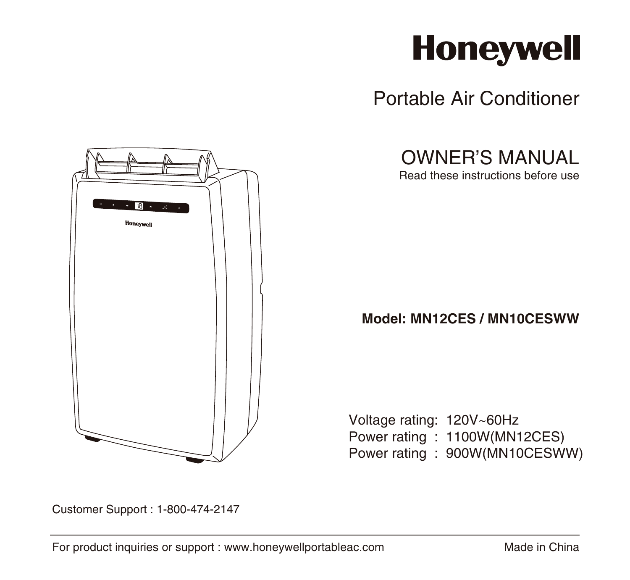# **Honeywell**

Portable Air Conditioner



OWNER'S MANUAL

Read these instructions before use

# **Model: MN12CES / MN10CESWW**

Voltage rating: 120V~60Hz Power rating : 1100W(MN12CES) Power rating : 900W(MN10CESWW)

Customer Support : 1-800-474-2147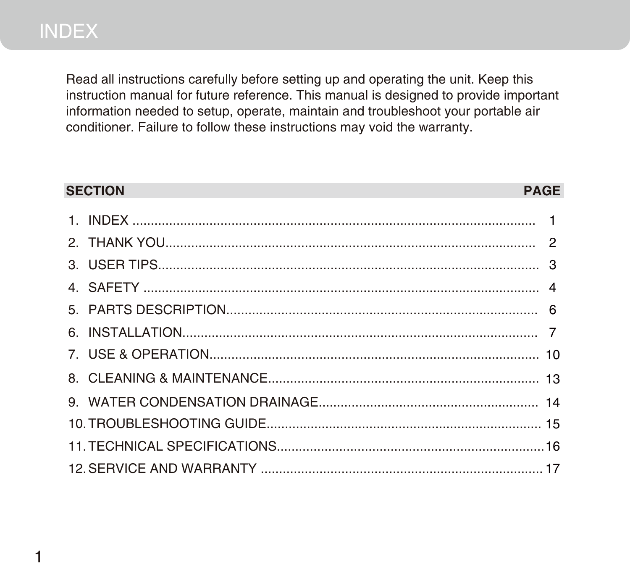Read all instructions carefully before setting up and operating the unit. Keep this instruction manual for future reference. This manual is designed to provide important information needed to setup, operate, maintain and troubleshoot your portable air conditioner. Failure to follow these instructions may void the warranty.

| <b>SECTION</b> | <b>PAGE</b> |
|----------------|-------------|
|                |             |
|                |             |
|                |             |
|                |             |
|                |             |
|                |             |
|                |             |
|                |             |
|                |             |
|                |             |
|                |             |
|                |             |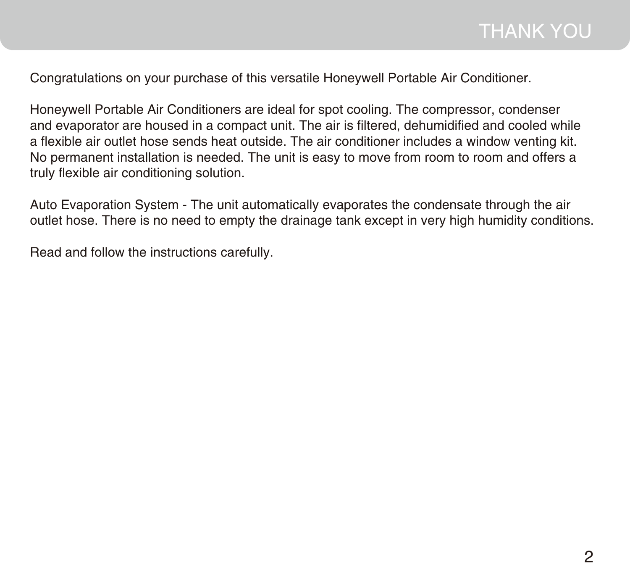Congratulations on your purchase of this versatile Honeywell Portable Air Conditioner. r.

Honeywell Portable Air Conditioners are ideal for spot cooling. The compressor, condenser and evaporator are housed in a compact unit. The air is filtered, dehumidified and cooled while a flexible air outlet hose sends heat outside. The air conditioner includes a window venting kit. No permanent installation is needed. The unit is easy to move from room to room and offers a truly flexible air conditioning solution.

Auto Evaporation System - The unit automatically evaporates the condensate through the air outlet hose. There is no need to empty the drainage tank except in very high humidity conditions.

Read and follow the instructions carefully.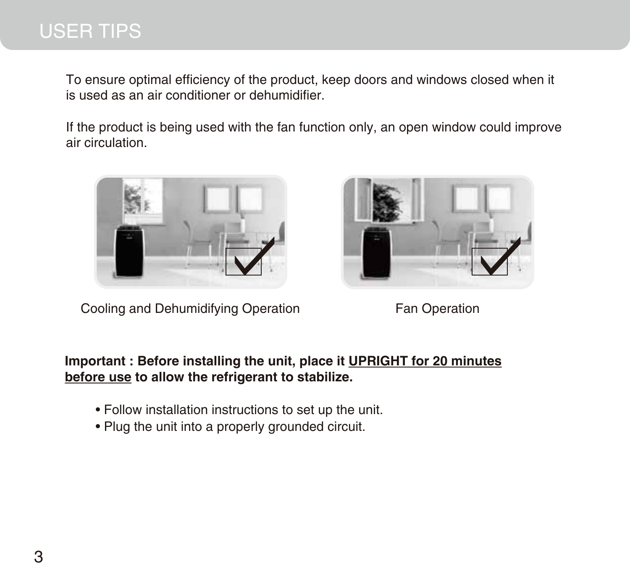# USER TIPS

To ensure optimal efficiency of the product, keep doors and windows closed when it is used as an air conditioner or dehumidifier.

If the product is being used with the fan function only, an open window could improve air circulation.



Cooling and Dehumidifying Operation Fan Operation



### **Important : Before installing the unit, place it UPRIGHT for 20 minutes before use to allow the refrigerant to stabilize.**

- Follow installation instructions to set up the unit.
- Plug the unit into a properly grounded circuit.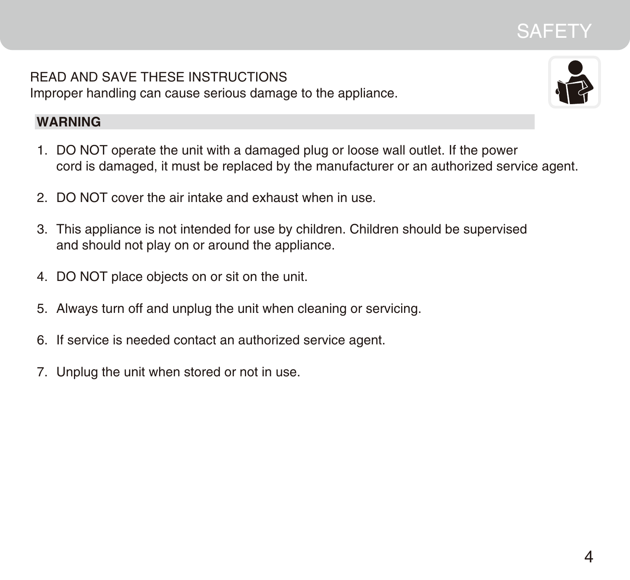# **SAFETY**

READ AND SAVE THESE INSTRUCTIONS Improper handling can cause serious damage to the appliance.



## **WARNING**

- 1. DO NOT operate the unit with a damaged plug or loose wall outlet. If the power cord is damaged, it must be replaced by the manufacturer or an authorized service agent.
- 2. DO NOT cover the air intake and exhaust when in use.
- 3. This appliance is not intended for use by children. Children should be supervised and should not play on or around the appliance.
- 4. DO NOT place objects on or sit on the unit.
- Always turn off and unplug the unit when cleaning or servicing. 5.
- 6. If service is needed contact an authorized service agent.
- 7. Unplug the unit when stored or not in use.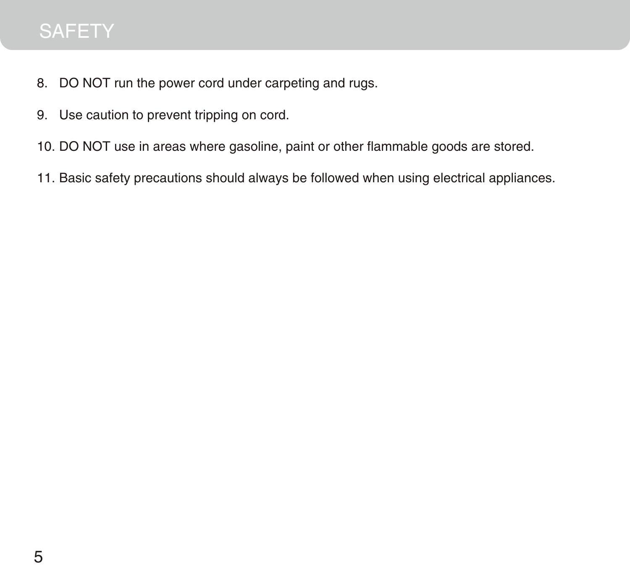# **SAFETY**

- DO NOT run the power cord under carpeting and rugs. 8.
- 9. Use caution to prevent tripping on cord.
- 10. DO NOT use in areas where gasoline, paint or other flammable goods are stored.
- 11. Basic safety precautions should always be followed when using electrical appliances.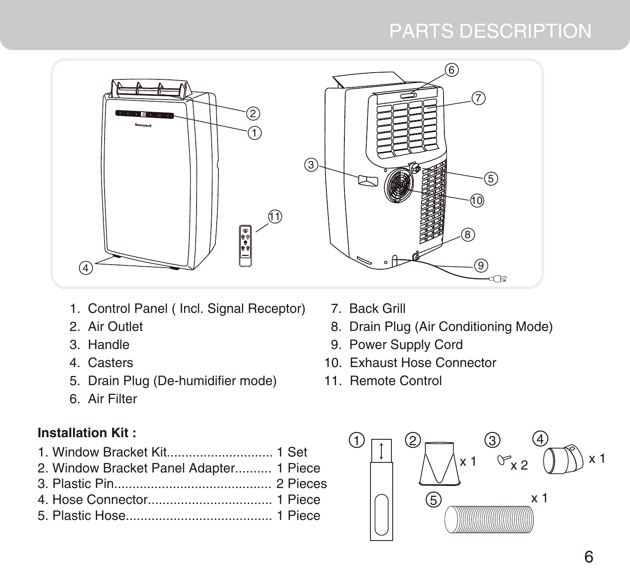# PARTS DESCRIPTION



- 1. Control Panel ( Incl. Signal Receptor)
- 2. Air Outlet
- 3. Handle
- 4. Casters
- 5. Drain Plug (De-humidifier mode)
- 6. Air Filter

# **Installation Kit :**

- 1. Window Bracket Kit............................. 1 Set
- 2. Window Bracket Panel Adapter.......... 1 Piece
- 3. Plastic Pin........................................... 2 Pieces
- 4. Hose Connector.................................. 1 Piece
- 5. Plastic Hose........................................ 1 Piece
- 7. Back Grill
- 8. Drain Plug (Air Conditioning Mode)
- 9. Power Supply Cord
- 10. Exhaust Hose Connector
- 11. Remote Control

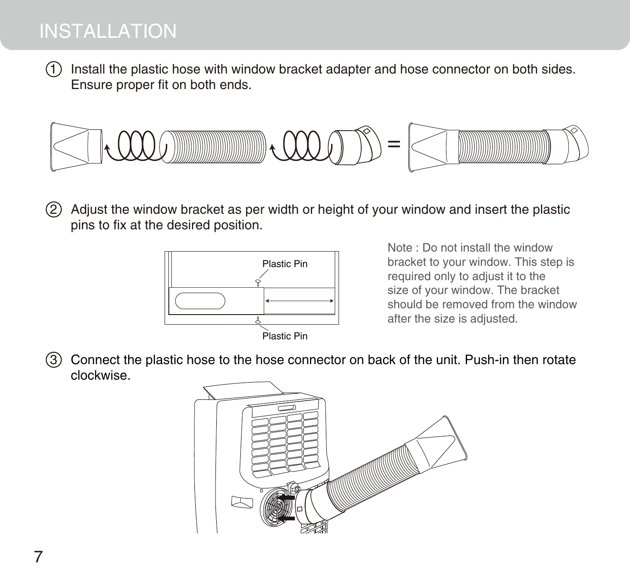# INSTALLATION

1) Install the plastic hose with window bracket adapter and hose connector on both sides. Ensure proper fit on both ends.



Adjust the window bracket as per width or height of your window and insert the plastic pins to fix at the desired position.  $(2)$ 



Note : Do not install the window bracket to your window. This step is required only to adjust it to the size of your window. The bracket should be removed from the window after the size is adjusted.

3 Connect the plastic hose to the hose connector on back of the unit. Push-in then rotate clockwise.

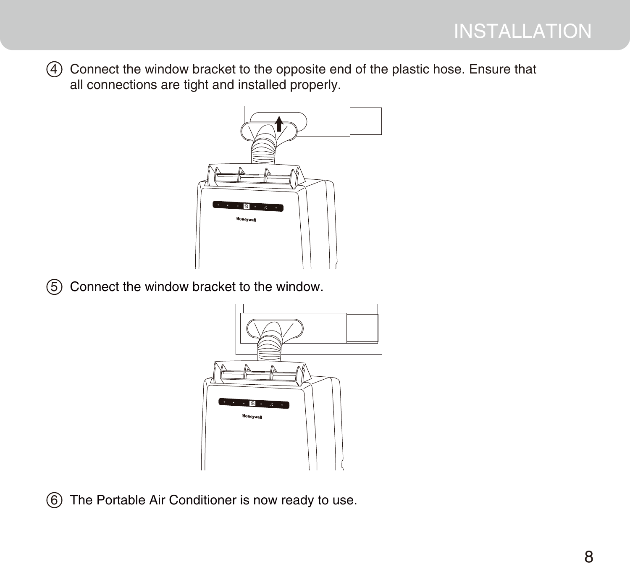Connect the window bracket to the opposite end of the plastic hose. Ensure that all connections are tight and installed properly.



Connect the window bracket to the window.



The Portable Air Conditioner is now ready to use.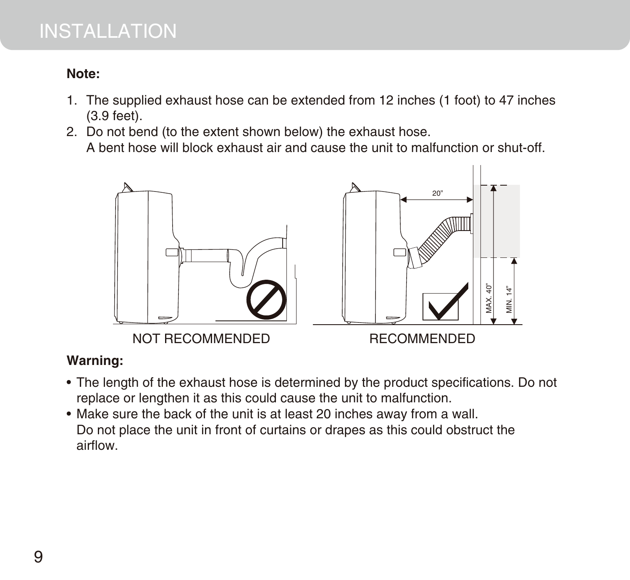# INSTALLATION

## **Note:**

- 1. The supplied exhaust hose can be extended from 12 inches (1 foot) to 47 inches (3.9 feet).
- 2. Do not bend (to the extent shown below) the exhaust hose. A bent hose will block exhaust air and cause the unit to malfunction or shut-off.



## **Warning:**

- The length of the exhaust hose is determined by the product specifications. Do not replace or lengthen it as this could cause the unit to malfunction.
- Make sure the back of the unit is at least 20 inches away from a wall. Do not place the unit in front of curtains or drapes as this could obstruct the airflow.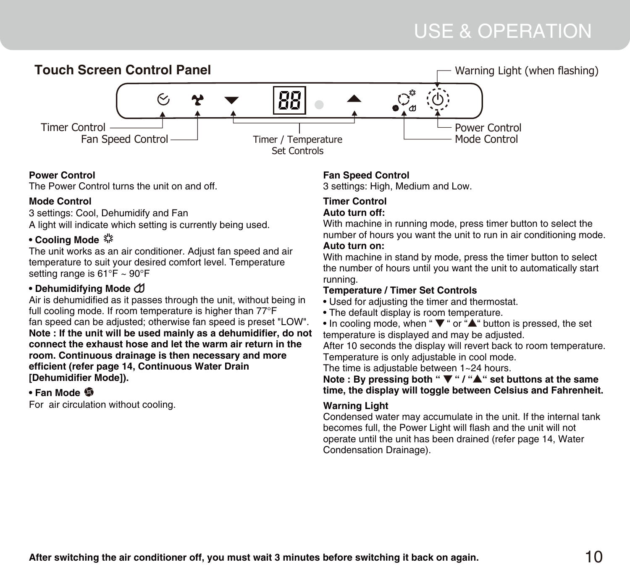# USE & OPERATION



#### **Power Control**

The Power Control turns the unit on and off.

#### **Mode Control**

3 settings: Cool, Dehumidify and Fan A light will indicate which setting is currently being used.

#### • Cooling Mode<sup>3</sup>

The unit works as an air conditioner. Adjust fan speed and air temperature to suit your desired comfort level. Temperature setting range is 61°F ~ 90°F

#### **• Dehumidifying Mode**

Air is dehumidified as it passes through the unit, without being in full cooling mode. If room temperature is higher than 77°F fan speed can be adjusted; otherwise fan speed is preset "LOW". **Note : If the unit will be used mainly as a dehumidifier, do not connect the exhaust hose and let the warm air return in the room. Continuous drainage is then necessary and more efficient (refer page 14, Continuous Water Drain [Dehumidifier Mode]).**

#### **• Fan Mode**

For air circulation without cooling.

#### **Fan Speed Control**

3 settings: High, Medium and Low.

#### **Timer Control Auto turn off:**

With machine in running mode, press timer button to select the number of hours you want the unit to run in air conditioning mode. **Auto turn on:**

With machine in stand by mode, press the timer button to select the number of hours until you want the unit to automatically start running.

#### **Temperature / Timer Set Controls**

- Used for adjusting the timer and thermostat.
- The default display is room temperature.
- In cooling mode, when " **▼** " or "**▲**" button is pressed, the set temperature is displayed and may be adjusted.

After 10 seconds the display will revert back to room temperature. Temperature is only adjustable in cool mode.

The time is adjustable between 1~24 hours.

#### **Note : By pressing both " ▼ " / "▲" set buttons at the same time, the display will toggle between Celsius and Fahrenheit.**

#### **Warning Light**

Condensed water may accumulate in the unit. If the internal tank becomes full, the Power Light will flash and the unit will not operate until the unit has been drained (refer page 14, Water Condensation Drainage).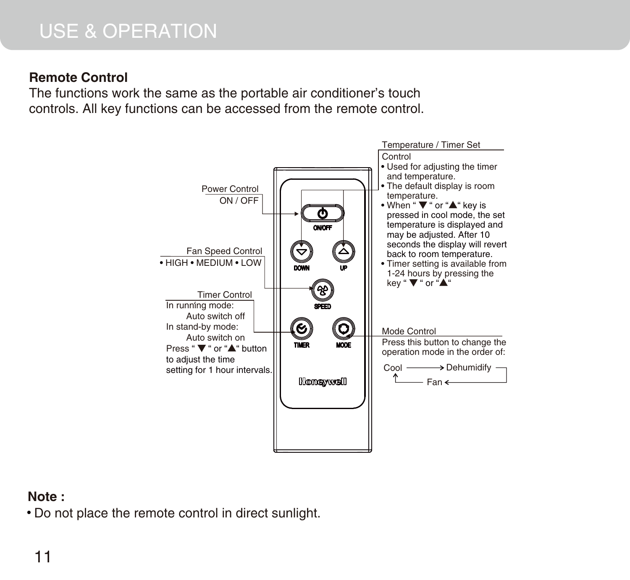# USE & OPERATION

### **Remote Control**

The functions work the same as the portable air conditioner's touch controls. All key functions can be accessed from the remote control.



### **Note :**

Do not place the remote control in direct sunlight.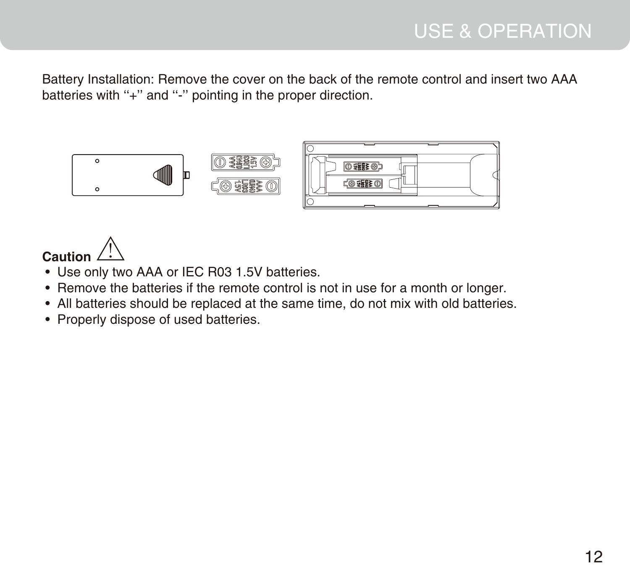Battery Installation: Remove the cover on the back of the remote control and insert two AAA batteries with "+" and "-" pointing in the proper direction.



# **Caution**

- Use only two AAA or IEC R03 1.5V batteries.
- Remove the batteries if the remote control is not in use for a month or longer.
- All batteries should be replaced at the same time, do not mix with old batteries.
- Properly dispose of used batteries.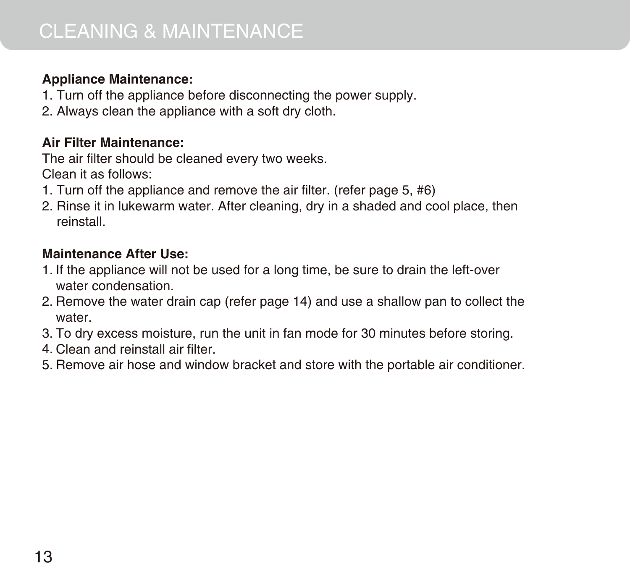## **Appliance Maintenance:**

- 1. Turn off the appliance before disconnecting the power supply.
- 2. Always clean the appliance with a soft dry cloth.

### **Air Filter Maintenance:**

The air filter should be cleaned every two weeks. Clean it as follows:

- 1. Turn off the appliance and remove the air filter. (refer page 5, #6)
- 2. Rinse it in lukewarm water. After cleaning, dry in a shaded and cool place, then reinstall.

### **Maintenance After Use:**

- 1. If the appliance will not be used for a long time, be sure to drain the left-over water condensation.
- 2. Remove the water drain cap (refer page 14) and use a shallow pan to collect the water.
- To dry excess moisture, run the unit in fan mode for 30 minutes before storing. 3.
- Clean and reinstall air filter. 4.
- 5. Remove air hose and window bracket and store with the portable air conditioner.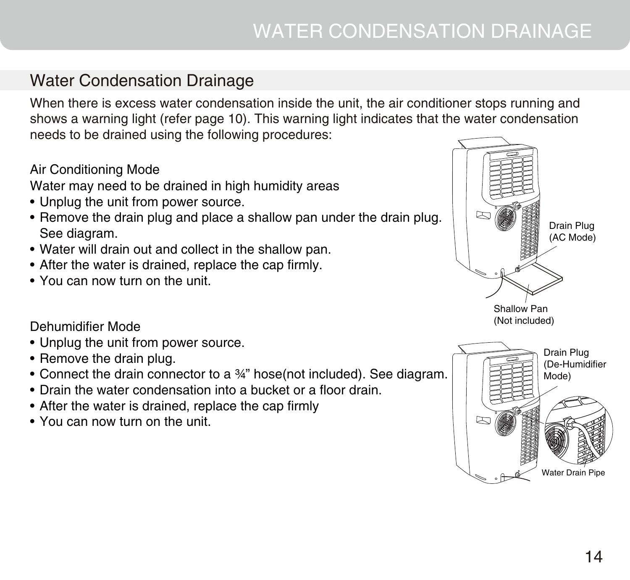# Water Condensation Drainage

When there is excess water condensation inside the unit, the air conditioner stops running and shows a warning light (refer page 10). This warning light indicates that the water condensation needs to be drained using the following procedures:

### Air Conditioning Mode

Water may need to be drained in high humidity areas

- Unplug the unit from power source.
- Remove the drain plug and place a shallow pan under the drain plug. See diagram.
- Water will drain out and collect in the shallow pan.
- After the water is drained, replace the cap firmly.
- You can now turn on the unit. •

### Dehumidifier Mode

- Unplug the unit from power source.
- Remove the drain plug.
- Connect the drain connector to a 34" hose(not included). See diagram.
- Drain the water condensation into a bucket or a floor drain.
- After the water is drained, replace the cap firmly
- You can now turn on the unit. •



Water Drain Pipe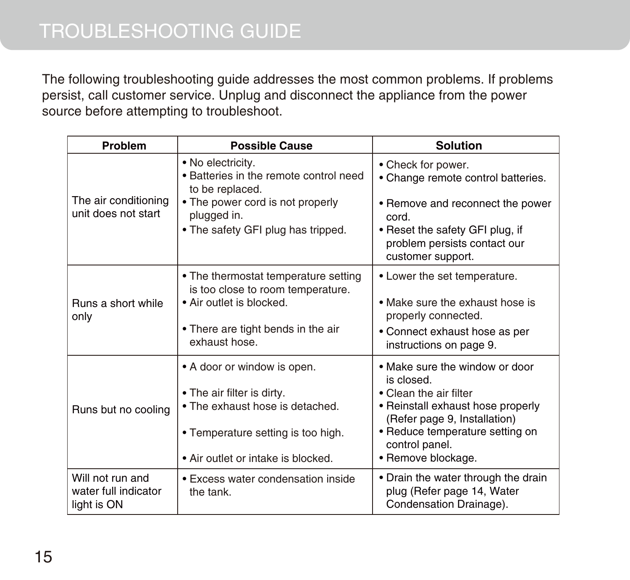The following troubleshooting guide addresses the most common problems. If problems persist, call customer service. Unplug and disconnect the appliance from the power source before attempting to troubleshoot.

| <b>Problem</b>                                          | <b>Possible Cause</b>                                                                                                                                                    | <b>Solution</b>                                                                                                                                                                                                        |
|---------------------------------------------------------|--------------------------------------------------------------------------------------------------------------------------------------------------------------------------|------------------------------------------------------------------------------------------------------------------------------------------------------------------------------------------------------------------------|
| The air conditioning<br>unit does not start             | • No electricity.<br>• Batteries in the remote control need<br>to be replaced.<br>• The power cord is not properly<br>plugged in.<br>• The safety GFI plug has tripped.  | • Check for power.<br>• Change remote control batteries.<br>• Remove and reconnect the power<br>cord.<br>• Reset the safety GFI plug, if<br>problem persists contact our<br>customer support.                          |
| Runs a short while<br>only                              | • The thermostat temperature setting<br>is too close to room temperature.<br>• Air outlet is blocked.<br>• There are tight bends in the air<br>exhaust hose.             | • Lower the set temperature.<br>• Make sure the exhaust hose is<br>properly connected.<br>• Connect exhaust hose as per<br>instructions on page 9.                                                                     |
| Runs but no cooling                                     | • A door or window is open.<br>• The air filter is dirty.<br>• The exhaust hose is detached.<br>• Temperature setting is too high.<br>• Air outlet or intake is blocked. | • Make sure the window or door<br>is closed.<br>• Clean the air filter<br>• Reinstall exhaust hose properly<br>(Refer page 9, Installation)<br>• Reduce temperature setting on<br>control panel.<br>• Remove blockage. |
| Will not run and<br>water full indicator<br>light is ON | • Excess water condensation inside<br>the tank.                                                                                                                          | • Drain the water through the drain<br>plug (Refer page 14, Water<br>Condensation Drainage).                                                                                                                           |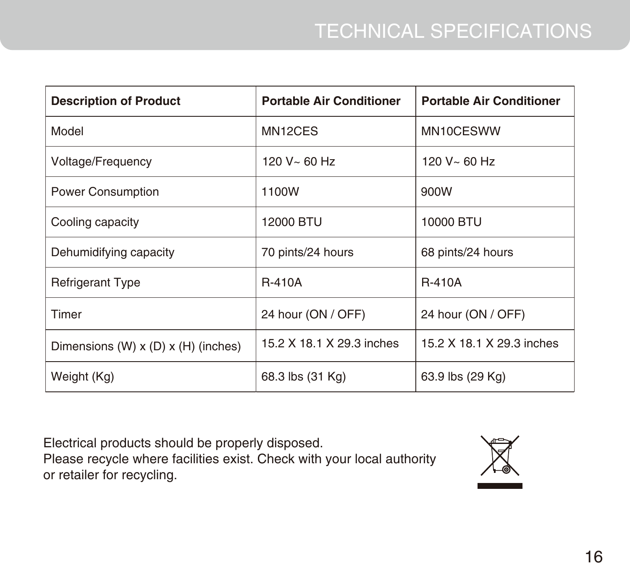| <b>Description of Product</b>             | <b>Portable Air Conditioner</b> | <b>Portable Air Conditioner</b> |
|-------------------------------------------|---------------------------------|---------------------------------|
| Model                                     | MN <sub>12</sub> CES            | MN10CESWW                       |
| Voltage/Frequency                         | 120 V~ 60 Hz                    | $120 V - 60 H$                  |
| Power Consumption                         | 1100W                           | 900W                            |
| Cooling capacity                          | 12000 BTU                       | 10000 BTU                       |
| Dehumidifying capacity                    | 70 pints/24 hours               | 68 pints/24 hours               |
| <b>Refrigerant Type</b>                   | <b>R-410A</b>                   | <b>R-410A</b>                   |
| Timer                                     | 24 hour (ON / OFF)              | 24 hour (ON / OFF)              |
| Dimensions $(W)$ x $(D)$ x $(H)$ (inches) | 15.2 X 18.1 X 29.3 inches       | 15.2 X 18.1 X 29.3 inches       |
| Weight (Kg)                               | 68.3 lbs (31 Kg)                | 63.9 lbs (29 Kg)                |

Electrical products should be properly disposed.

Please recycle where facilities exist. Check with your local authority or retailer for recycling.

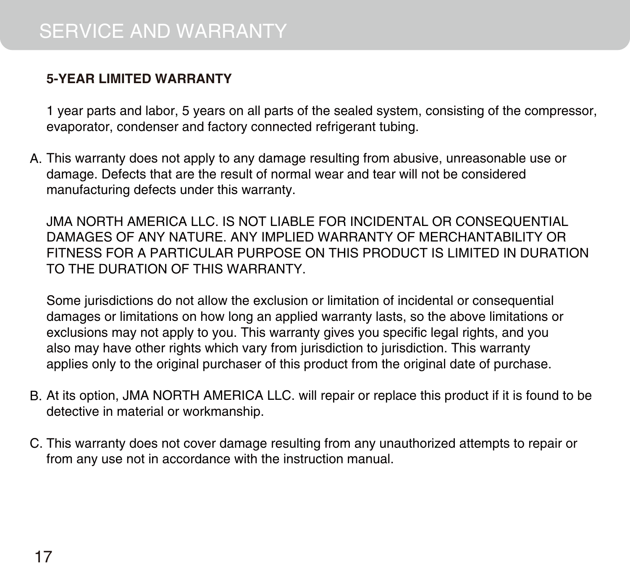# **5-YEAR LIMITED WARRANTY**

1 year parts and labor, 5 years on all parts of the sealed system, consisting of the compressor, evaporator, condenser and factory connected refrigerant tubing.

A. This warranty does not apply to any damage resulting from abusive, unreasonable use or damage. Defects that are the result of normal wear and tear will not be considered manufacturing defects under this warranty.

JMA NORTH AMERICA LLC. IS NOT LIABLE FOR INCIDENTAL OR CONSEQUENTIAL DAMAGES OF ANY NATURE. ANY IMPLIED WARRANTY OF MERCHANTABILITY OR FITNESS FOR A PARTICULAR PURPOSE ON THIS PRODUCT IS LIMITED IN DURATION TO THE DURATION OF THIS WARRANTY.

Some jurisdictions do not allow the exclusion or limitation of incidental or consequential damages or limitations on how long an applied warranty lasts, so the above limitations or exclusions may not apply to you. This warranty gives you specific legal rights, and you also may have other rights which vary from jurisdiction to jurisdiction. This warranty applies only to the original purchaser of this product from the original date of purchase.

- B. At its option, JMA NORTH AMERICA LLC. will repair or replace this product if it is found to be detective in material or workmanship.
- C. This warranty does not cover damage resulting from any unauthorized attempts to repair or from any use not in accordance with the instruction manual.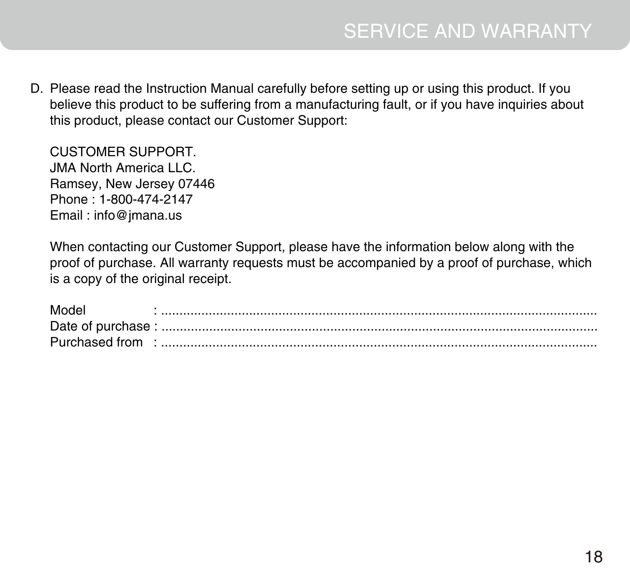Please read the Instruction Manual carefully before setting up or using this product. If you D.believe this product to be suffering from a manufacturing fault, or if you have inquiries about this product, please contact our Customer Support:

CUSTOMER SUPPORT. JMA North America LLC. Ramsey, New Jersey 07446 Phone : 1-800-474-2147 Email : info@jmana.us

When contacting our Customer Support, please have the information below along with the proof of purchase. All warranty requests must be accompanied by a proof of purchase, which is a copy of the original receipt.

| Model          |  |
|----------------|--|
|                |  |
| Purchased from |  |